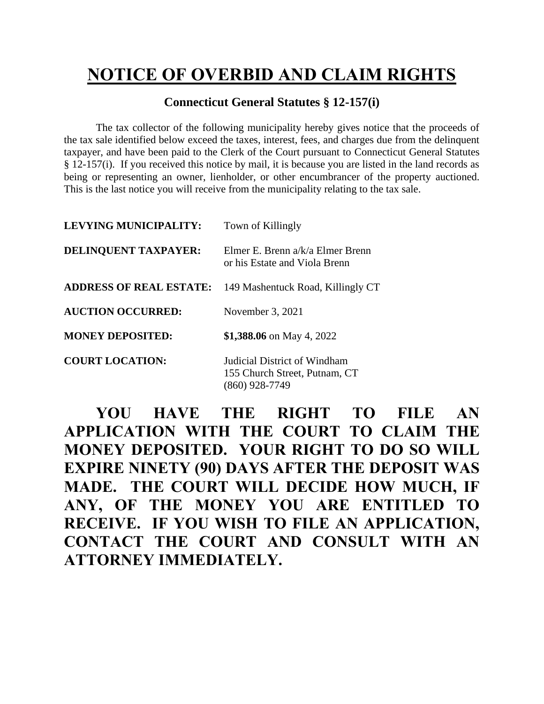## **NOTICE OF OVERBID AND CLAIM RIGHTS**

## **Connecticut General Statutes § 12-157(i)**

The tax collector of the following municipality hereby gives notice that the proceeds of the tax sale identified below exceed the taxes, interest, fees, and charges due from the delinquent taxpayer, and have been paid to the Clerk of the Court pursuant to Connecticut General Statutes § 12-157(i). If you received this notice by mail, it is because you are listed in the land records as being or representing an owner, lienholder, or other encumbrancer of the property auctioned. This is the last notice you will receive from the municipality relating to the tax sale.

| <b>LEVYING MUNICIPALITY:</b>   | Town of Killingly                                                                 |
|--------------------------------|-----------------------------------------------------------------------------------|
| DELINQUENT TAXPAYER:           | Elmer E. Brenn $a/k/a$ Elmer Brenn<br>or his Estate and Viola Brenn               |
| <b>ADDRESS OF REAL ESTATE:</b> | 149 Mashentuck Road, Killingly CT                                                 |
| <b>AUCTION OCCURRED:</b>       | November 3, 2021                                                                  |
| <b>MONEY DEPOSITED:</b>        | \$1,388.06 on May 4, 2022                                                         |
| <b>COURT LOCATION:</b>         | Judicial District of Windham<br>155 Church Street, Putnam, CT<br>$(860)$ 928-7749 |

**YOU HAVE THE RIGHT TO FILE AN APPLICATION WITH THE COURT TO CLAIM THE MONEY DEPOSITED. YOUR RIGHT TO DO SO WILL EXPIRE NINETY (90) DAYS AFTER THE DEPOSIT WAS MADE. THE COURT WILL DECIDE HOW MUCH, IF ANY, OF THE MONEY YOU ARE ENTITLED TO RECEIVE. IF YOU WISH TO FILE AN APPLICATION, CONTACT THE COURT AND CONSULT WITH AN ATTORNEY IMMEDIATELY.**